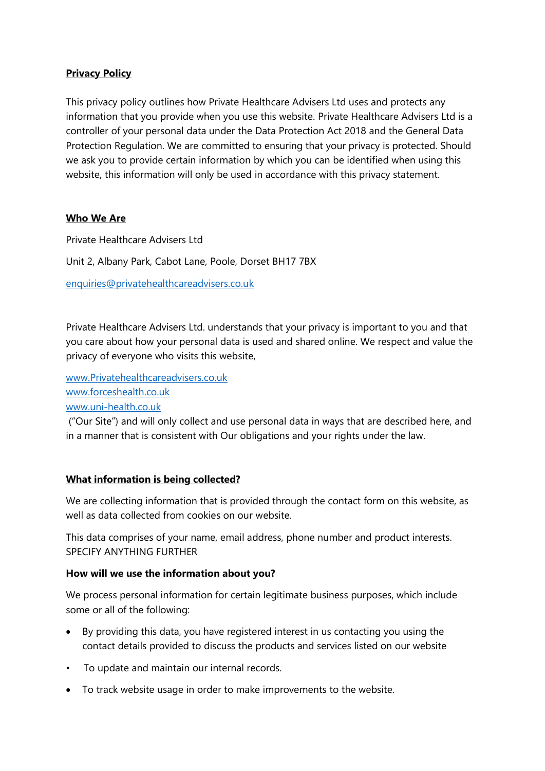### **Privacy Policy**

This privacy policy outlines how Private Healthcare Advisers Ltd uses and protects any information that you provide when you use this website. Private Healthcare Advisers Ltd is a controller of your personal data under the Data Protection Act 2018 and the General Data Protection Regulation. We are committed to ensuring that your privacy is protected. Should we ask you to provide certain information by which you can be identified when using this website, this information will only be used in accordance with this privacy statement.

#### **Who We Are**

Private Healthcare Advisers Ltd

Unit 2, Albany Park, Cabot Lane, Poole, Dorset BH17 7BX

[enquiries@privatehealthcareadvisers.co.uk](mailto:enquiries@privatehealthcareadvisers.co.uk)

Private Healthcare Advisers Ltd. understands that your privacy is important to you and that you care about how your personal data is used and shared online. We respect and value the privacy of everyone who visits this website,

[www.Privatehealthcareadvisers.co.uk](http://www.privatehealthcareadvisers.co.uk/) [www.forceshealth.co.uk](http://www.forceshealth.co.uk/) [www.uni-health.co.uk](http://www.uni-health.co.uk/)

("Our Site") and will only collect and use personal data in ways that are described here, and in a manner that is consistent with Our obligations and your rights under the law.

#### **What information is being collected?**

We are collecting information that is provided through the contact form on this website, as well as data collected from cookies on our website.

This data comprises of your name, email address, phone number and product interests. SPECIFY ANYTHING FURTHER

#### **How will we use the information about you?**

We process personal information for certain legitimate business purposes, which include some or all of the following:

- By providing this data, you have registered interest in us contacting you using the contact details provided to discuss the products and services listed on our website
- To update and maintain our internal records.
- To track website usage in order to make improvements to the website.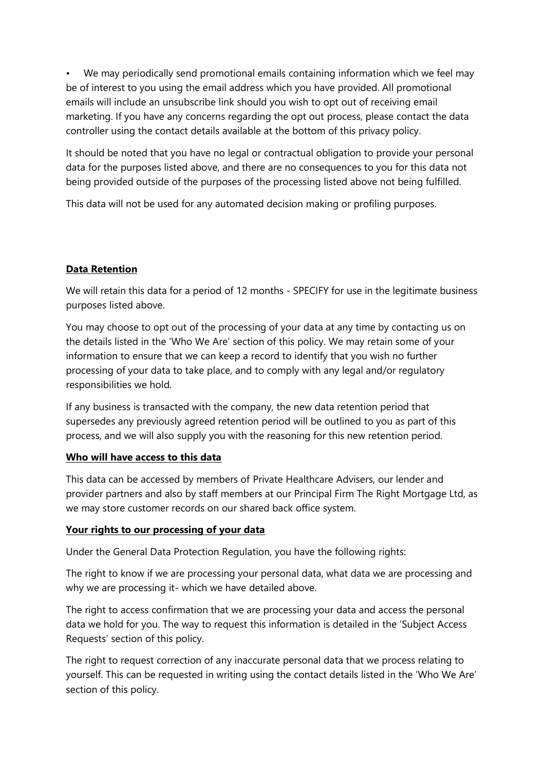We may periodically send promotional emails containing information which we feel may be of interest to you using the email address which you have provided. All promotional emails will include an unsubscribe link should you wish to opt out of receiving email marketing. If you have any concerns regarding the opt out process, please contact the data controller using the contact details available at the bottom of this privacy policy.

It should be noted that you have no legal or contractual obligation to provide your personal data for the purposes listed above, and there are no consequences to you for this data not being provided outside of the purposes of the processing listed above not being fulfilled.

This data will not be used for any automated decision making or profiling purposes.

#### **Data Retention**

We will retain this data for a period of 12 months - SPECIFY for use in the legitimate business purposes listed above.

You may choose to opt out of the processing of your data at any time by contacting us on the details listed in the 'Who We Are' section of this policy. We may retain some of your information to ensure that we can keep a record to identify that you wish no further processing of your data to take place, and to comply with any legal and/or regulatory responsibilities we hold.

If any business is transacted with the company, the new data retention period that supersedes any previously agreed retention period will be outlined to you as part of this process, and we will also supply you with the reasoning for this new retention period.

#### **Who will have access to this data**

This data can be accessed by members of Private Healthcare Advisers, our lender and provider partners and also by staff members at our Principal Firm The Right Mortgage Ltd, as we may store customer records on our shared back office system.

#### **Your rights to our processing of your data**

Under the General Data Protection Regulation, you have the following rights:

The right to know if we are processing your personal data, what data we are processing and why we are processing it- which we have detailed above.

The right to access confirmation that we are processing your data and access the personal data we hold for you. The way to request this information is detailed in the 'Subject Access Requests' section of this policy.

The right to request correction of any inaccurate personal data that we process relating to yourself. This can be requested in writing using the contact details listed in the 'Who We Are' section of this policy.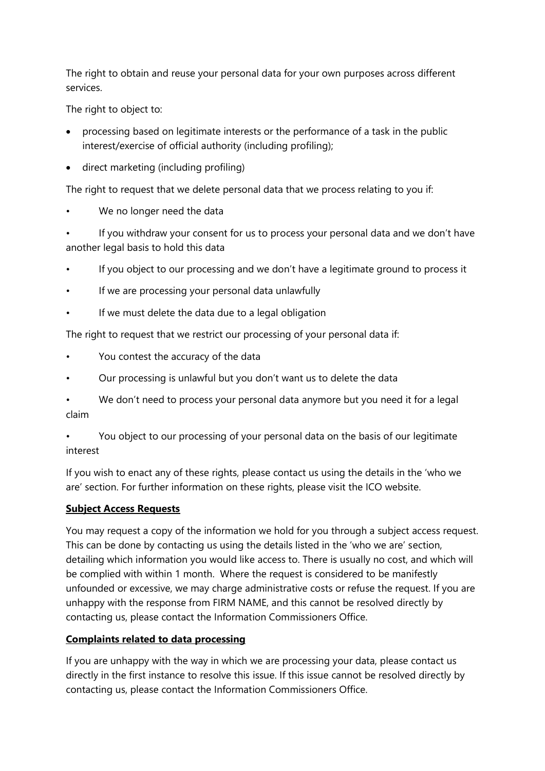The right to obtain and reuse your personal data for your own purposes across different services.

The right to object to:

- processing based on legitimate interests or the performance of a task in the public interest/exercise of official authority (including profiling);
- direct marketing (including profiling)

The right to request that we delete personal data that we process relating to you if:

We no longer need the data

• If you withdraw your consent for us to process your personal data and we don't have another legal basis to hold this data

- If you object to our processing and we don't have a legitimate ground to process it
- If we are processing your personal data unlawfully
- If we must delete the data due to a legal obligation

The right to request that we restrict our processing of your personal data if:

- You contest the accuracy of the data
- Our processing is unlawful but you don't want us to delete the data
- We don't need to process your personal data anymore but you need it for a legal claim

• You object to our processing of your personal data on the basis of our legitimate interest

If you wish to enact any of these rights, please contact us using the details in the 'who we are' section. For further information on these rights, please visit the ICO website.

#### **Subject Access Requests**

You may request a copy of the information we hold for you through a subject access request. This can be done by contacting us using the details listed in the 'who we are' section, detailing which information you would like access to. There is usually no cost, and which will be complied with within 1 month. Where the request is considered to be manifestly unfounded or excessive, we may charge administrative costs or refuse the request. If you are unhappy with the response from FIRM NAME, and this cannot be resolved directly by contacting us, please contact the Information Commissioners Office.

# **Complaints related to data processing**

If you are unhappy with the way in which we are processing your data, please contact us directly in the first instance to resolve this issue. If this issue cannot be resolved directly by contacting us, please contact the Information Commissioners Office.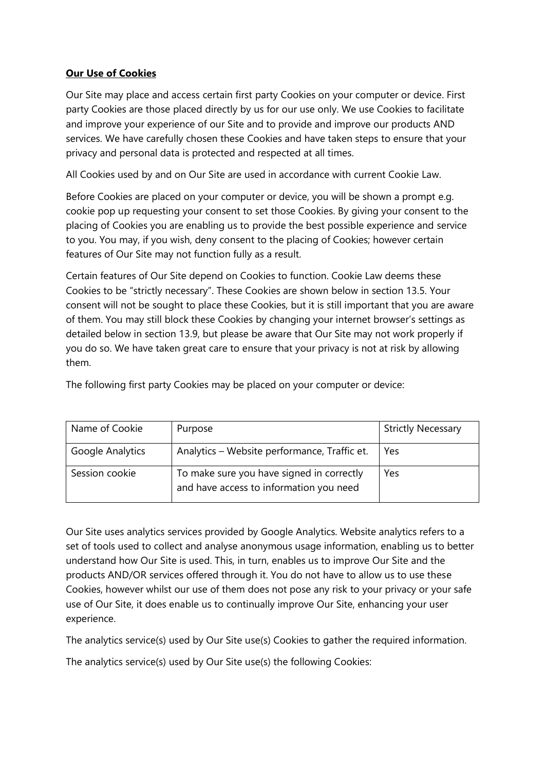# **Our Use of Cookies**

Our Site may place and access certain first party Cookies on your computer or device. First party Cookies are those placed directly by us for our use only. We use Cookies to facilitate and improve your experience of our Site and to provide and improve our products AND services. We have carefully chosen these Cookies and have taken steps to ensure that your privacy and personal data is protected and respected at all times.

All Cookies used by and on Our Site are used in accordance with current Cookie Law.

Before Cookies are placed on your computer or device, you will be shown a prompt e.g. cookie pop up requesting your consent to set those Cookies. By giving your consent to the placing of Cookies you are enabling us to provide the best possible experience and service to you. You may, if you wish, deny consent to the placing of Cookies; however certain features of Our Site may not function fully as a result.

Certain features of Our Site depend on Cookies to function. Cookie Law deems these Cookies to be "strictly necessary". These Cookies are shown below in section 13.5. Your consent will not be sought to place these Cookies, but it is still important that you are aware of them. You may still block these Cookies by changing your internet browser's settings as detailed below in section 13.9, but please be aware that Our Site may not work properly if you do so. We have taken great care to ensure that your privacy is not at risk by allowing them.

The following first party Cookies may be placed on your computer or device:

| Name of Cookie          | Purpose                                                                              | <b>Strictly Necessary</b> |
|-------------------------|--------------------------------------------------------------------------------------|---------------------------|
| <b>Google Analytics</b> | Analytics - Website performance, Traffic et.                                         | Yes                       |
| Session cookie          | To make sure you have signed in correctly<br>and have access to information you need | Yes                       |

Our Site uses analytics services provided by Google Analytics. Website analytics refers to a set of tools used to collect and analyse anonymous usage information, enabling us to better understand how Our Site is used. This, in turn, enables us to improve Our Site and the products AND/OR services offered through it. You do not have to allow us to use these Cookies, however whilst our use of them does not pose any risk to your privacy or your safe use of Our Site, it does enable us to continually improve Our Site, enhancing your user experience.

The analytics service(s) used by Our Site use(s) Cookies to gather the required information.

The analytics service(s) used by Our Site use(s) the following Cookies: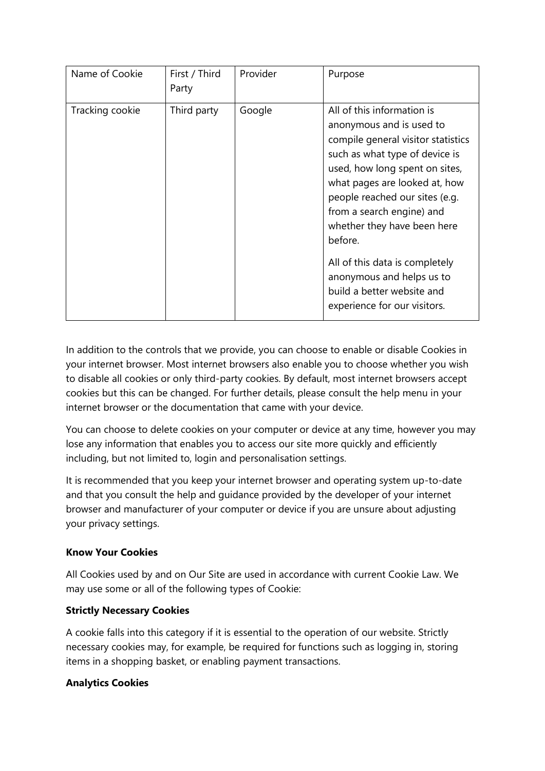| Name of Cookie  | First / Third<br>Party | Provider | Purpose                                                                                                                                                                                                                                                                                                                                                                                                                                 |
|-----------------|------------------------|----------|-----------------------------------------------------------------------------------------------------------------------------------------------------------------------------------------------------------------------------------------------------------------------------------------------------------------------------------------------------------------------------------------------------------------------------------------|
| Tracking cookie | Third party            | Google   | All of this information is<br>anonymous and is used to<br>compile general visitor statistics<br>such as what type of device is<br>used, how long spent on sites,<br>what pages are looked at, how<br>people reached our sites (e.g.<br>from a search engine) and<br>whether they have been here<br>before.<br>All of this data is completely<br>anonymous and helps us to<br>build a better website and<br>experience for our visitors. |

In addition to the controls that we provide, you can choose to enable or disable Cookies in your internet browser. Most internet browsers also enable you to choose whether you wish to disable all cookies or only third-party cookies. By default, most internet browsers accept cookies but this can be changed. For further details, please consult the help menu in your internet browser or the documentation that came with your device.

You can choose to delete cookies on your computer or device at any time, however you may lose any information that enables you to access our site more quickly and efficiently including, but not limited to, login and personalisation settings.

It is recommended that you keep your internet browser and operating system up-to-date and that you consult the help and guidance provided by the developer of your internet browser and manufacturer of your computer or device if you are unsure about adjusting your privacy settings.

#### **Know Your Cookies**

All Cookies used by and on Our Site are used in accordance with current Cookie Law. We may use some or all of the following types of Cookie:

#### **Strictly Necessary Cookies**

A cookie falls into this category if it is essential to the operation of our website. Strictly necessary cookies may, for example, be required for functions such as logging in, storing items in a shopping basket, or enabling payment transactions.

#### **Analytics Cookies**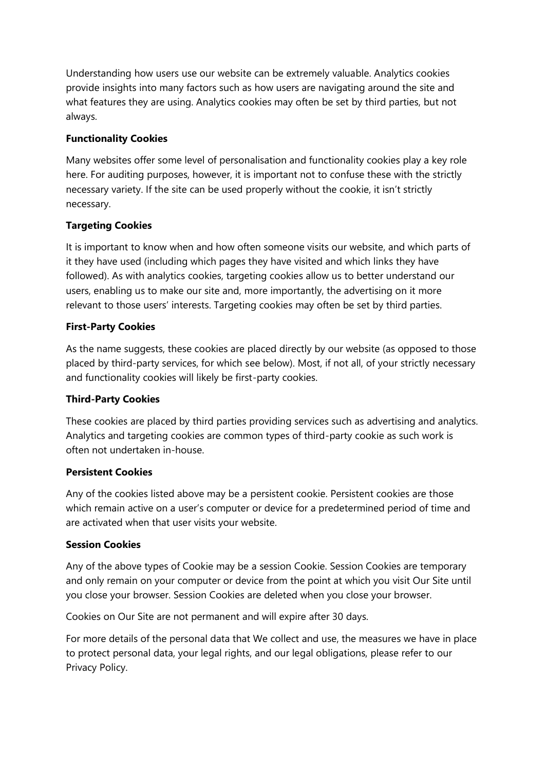Understanding how users use our website can be extremely valuable. Analytics cookies provide insights into many factors such as how users are navigating around the site and what features they are using. Analytics cookies may often be set by third parties, but not always.

# **Functionality Cookies**

Many websites offer some level of personalisation and functionality cookies play a key role here. For auditing purposes, however, it is important not to confuse these with the strictly necessary variety. If the site can be used properly without the cookie, it isn't strictly necessary.

# **Targeting Cookies**

It is important to know when and how often someone visits our website, and which parts of it they have used (including which pages they have visited and which links they have followed). As with analytics cookies, targeting cookies allow us to better understand our users, enabling us to make our site and, more importantly, the advertising on it more relevant to those users' interests. Targeting cookies may often be set by third parties.

# **First-Party Cookies**

As the name suggests, these cookies are placed directly by our website (as opposed to those placed by third-party services, for which see below). Most, if not all, of your strictly necessary and functionality cookies will likely be first-party cookies.

#### **Third-Party Cookies**

These cookies are placed by third parties providing services such as advertising and analytics. Analytics and targeting cookies are common types of third-party cookie as such work is often not undertaken in-house.

### **Persistent Cookies**

Any of the cookies listed above may be a persistent cookie. Persistent cookies are those which remain active on a user's computer or device for a predetermined period of time and are activated when that user visits your website.

#### **Session Cookies**

Any of the above types of Cookie may be a session Cookie. Session Cookies are temporary and only remain on your computer or device from the point at which you visit Our Site until you close your browser. Session Cookies are deleted when you close your browser.

Cookies on Our Site are not permanent and will expire after 30 days.

For more details of the personal data that We collect and use, the measures we have in place to protect personal data, your legal rights, and our legal obligations, please refer to our Privacy Policy.